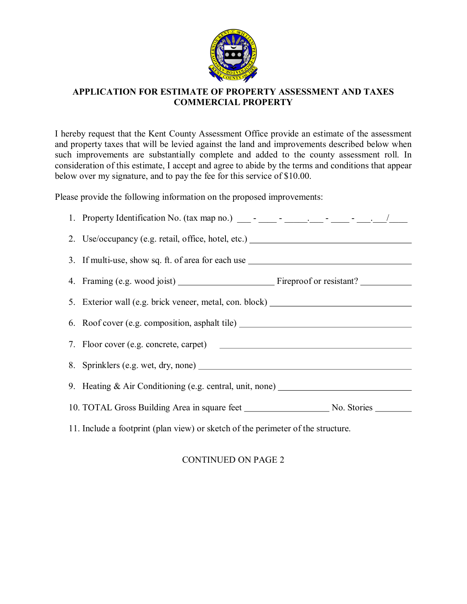

## **APPLICATION FOR ESTIMATE OF PROPERTY ASSESSMENT AND TAXES COMMERCIAL PROPERTY**

I hereby request that the Kent County Assessment Office provide an estimate of the assessment and property taxes that will be levied against the land and improvements described below when such improvements are substantially complete and added to the county assessment roll. In consideration of this estimate, I accept and agree to abide by the terms and conditions that appear below over my signature, and to pay the fee for this service of \$10.00.

Please provide the following information on the proposed improvements:

|                                                                                  | 2. Use/occupancy (e.g. retail, office, hotel, etc.)                               |  |
|----------------------------------------------------------------------------------|-----------------------------------------------------------------------------------|--|
|                                                                                  | 3. If multi-use, show sq. ft. of area for each use ______________________________ |  |
|                                                                                  |                                                                                   |  |
|                                                                                  | 5. Exterior wall (e.g. brick veneer, metal, con. block) ________________________  |  |
|                                                                                  | 6. Roof cover (e.g. composition, asphalt tile) _________________________________  |  |
|                                                                                  |                                                                                   |  |
|                                                                                  |                                                                                   |  |
|                                                                                  | 9. Heating & Air Conditioning (e.g. central, unit, none) _______________________  |  |
|                                                                                  |                                                                                   |  |
| 11. Include a footprint (plan view) or sketch of the perimeter of the structure. |                                                                                   |  |

## CONTINUED ON PAGE 2